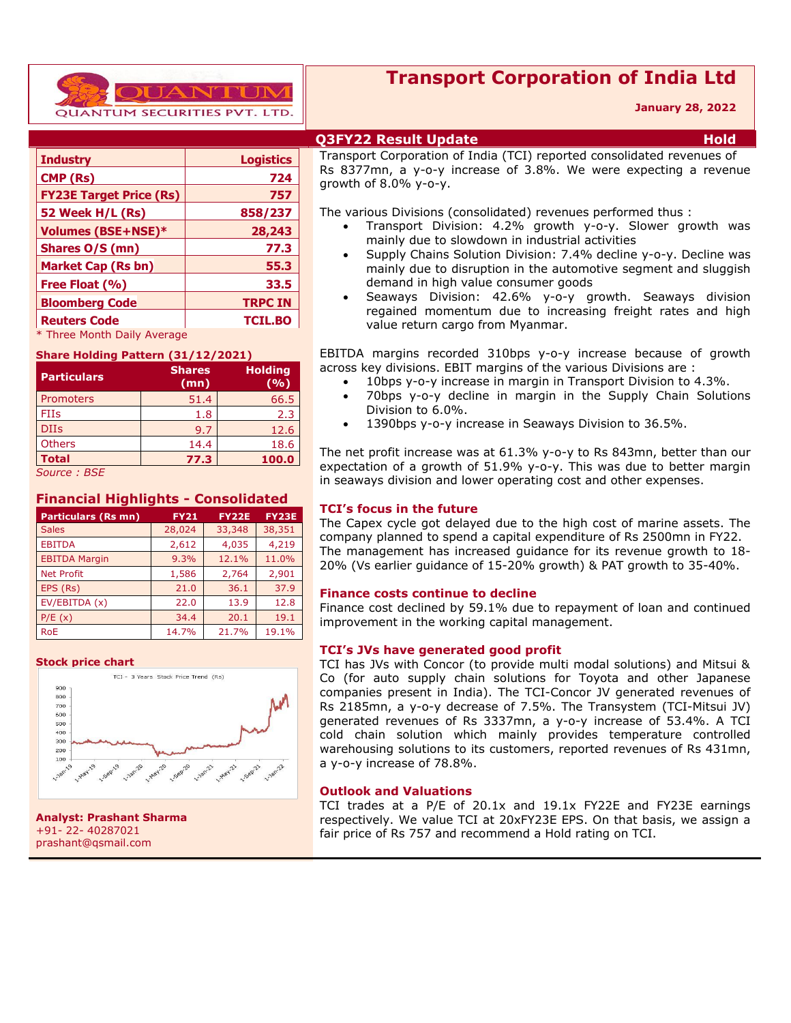

## **Transport Corporation of India Ltd**

#### **January 28, 2022**

| <b>Industry</b>                | <b>Logistics</b> |
|--------------------------------|------------------|
| CMP (Rs)                       | 724              |
| <b>FY23E Target Price (Rs)</b> | 757              |
| 52 Week H/L (Rs)               | 858/237          |
| <b>Volumes (BSE+NSE)*</b>      | 28,243           |
| Shares O/S (mn)                | 77.3             |
| <b>Market Cap (Rs bn)</b>      | 55.3             |
| Free Float (%)                 | 33.5             |
| <b>Bloomberg Code</b>          | <b>TRPC IN</b>   |
| <b>Reuters Code</b>            | <b>TCIL.BO</b>   |
| * Three Month Daily Average    |                  |

#### **Share Holding Pattern (31/12/2021)**

|                    | Share Holding Fattern (31/12/2021) |                       |  |  |  |  |  |  |
|--------------------|------------------------------------|-----------------------|--|--|--|--|--|--|
| <b>Particulars</b> | <b>Shares</b><br>(mn)              | <b>Holding</b><br>(%) |  |  |  |  |  |  |
| <b>Promoters</b>   | 51.4                               | 66.5                  |  |  |  |  |  |  |
| <b>FIIs</b>        | 1.8                                | 2.3                   |  |  |  |  |  |  |
| <b>DIIs</b>        | 9.7                                | 12.6                  |  |  |  |  |  |  |
| <b>Others</b>      | 14.4                               | 18.6                  |  |  |  |  |  |  |
| <b>Total</b>       | 77.3                               | 100.0                 |  |  |  |  |  |  |
| Source: BSE        |                                    |                       |  |  |  |  |  |  |

#### **Financial Highlights - Consolidated**

| <b>Particulars (Rs mn)</b> | <b>FY21</b> | <b>FY22E</b> | <b>FY23E</b> |
|----------------------------|-------------|--------------|--------------|
| <b>Sales</b>               | 28,024      | 33,348       | 38,351       |
| <b>EBITDA</b>              | 2,612       | 4,035        | 4,219        |
| <b>EBITDA Margin</b>       | 9.3%        | 12.1%        | 11.0%        |
| <b>Net Profit</b>          | 1,586       | 2,764        | 2,901        |
| EPS (Rs)                   | 21.0        | 36.1         | 37.9         |
| EV/EBITDA (x)              | 22.0        | 13.9         | 12.8         |
| P/E(x)                     | 34.4        | 20.1         | 19.1         |
| <b>RoE</b>                 | 14.7%       | 21.7%        | 19.1%        |

#### **Stock price chart**



**Analyst: Prashant Sharma** +91- 22- 40287021 prashant@qsmail.com

#### **Q3FY22 Result Update Hold**

Transport Corporation of India (TCI) reported consolidated revenues of Rs 8377mn, a y-o-y increase of 3.8%. We were expecting a revenue growth of 8.0% y-o-y.

The various Divisions (consolidated) revenues performed thus :

- Transport Division: 4.2% growth y-o-y. Slower growth was mainly due to slowdown in industrial activities
- Supply Chains Solution Division: 7.4% decline y-o-y. Decline was mainly due to disruption in the automotive segment and sluggish demand in high value consumer goods
- Seaways Division: 42.6% y-o-y growth. Seaways division regained momentum due to increasing freight rates and high value return cargo from Myanmar.

 EBITDA margins recorded 310bps y-o-y increase because of growth across key divisions. EBIT margins of the various Divisions are :

- 10bps y-o-y increase in margin in Transport Division to 4.3%.
- 70bps y-o-y decline in margin in the Supply Chain Solutions Division to 6.0%.
- 1390bps y-o-y increase in Seaways Division to 36.5%.

The net profit increase was at 61.3% y-o-y to Rs 843mn, better than our expectation of a growth of 51.9% y-o-y. This was due to better margin in seaways division and lower operating cost and other expenses.

#### **TCI's focus in the future**

The Capex cycle got delayed due to the high cost of marine assets. The company planned to spend a capital expenditure of Rs 2500mn in FY22. The management has increased guidance for its revenue growth to 18- 20% (Vs earlier guidance of 15-20% growth) & PAT growth to 35-40%.

#### **Finance costs continue to decline**

Finance cost declined by 59.1% due to repayment of loan and continued improvement in the working capital management.

#### **TCI's JVs have generated good profit**

TCI has JVs with Concor (to provide multi modal solutions) and Mitsui & Co (for auto supply chain solutions for Toyota and other Japanese companies present in India). The TCI-Concor JV generated revenues of Rs 2185mn, a y-o-y decrease of 7.5%. The Transystem (TCI-Mitsui JV) generated revenues of Rs 3337mn, a y-o-y increase of 53.4%. A TCI cold chain solution which mainly provides temperature controlled warehousing solutions to its customers, reported revenues of Rs 431mn, a y-o-y increase of 78.8%.

#### **Outlook and Valuations**

TCI trades at a P/E of 20.1x and 19.1x FY22E and FY23E earnings respectively. We value TCI at 20xFY23E EPS. On that basis, we assign a fair price of Rs 757 and recommend a Hold rating on TCI.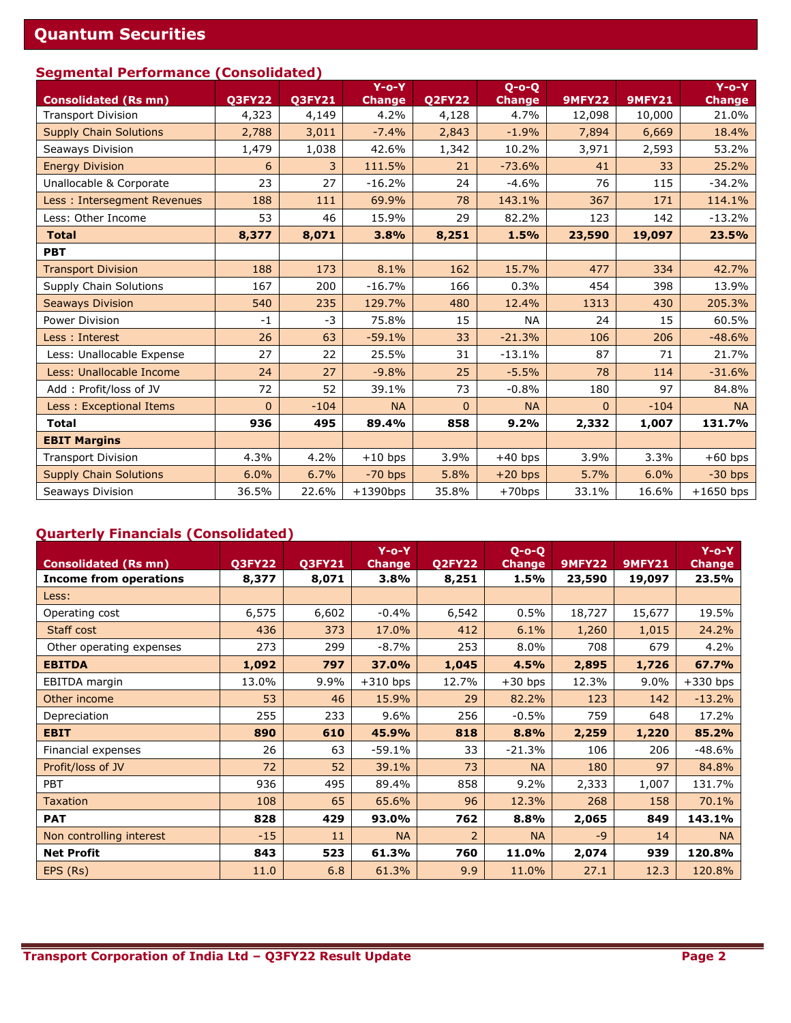# **Quantum Securities**

### **Segmental Performance (Consolidated)**

|                               |               |               | $Y$ -o-Y      |              | $Q$ -o-Q      |                |               | $Y$ -o- $\overline{Y}$ |
|-------------------------------|---------------|---------------|---------------|--------------|---------------|----------------|---------------|------------------------|
| <b>Consolidated (Rs mn)</b>   | <b>Q3FY22</b> | <b>Q3FY21</b> | <b>Change</b> | Q2FY22       | <b>Change</b> | <b>9MFY22</b>  | <b>9MFY21</b> | <b>Change</b>          |
| <b>Transport Division</b>     | 4,323         | 4,149         | 4.2%          | 4,128        | 4.7%          | 12,098         | 10,000        | 21.0%                  |
| <b>Supply Chain Solutions</b> | 2,788         | 3,011         | $-7.4%$       | 2,843        | $-1.9%$       | 7,894          | 6,669         | 18.4%                  |
| Seaways Division              | 1,479         | 1,038         | 42.6%         | 1,342        | 10.2%         | 3,971          | 2,593         | 53.2%                  |
| <b>Energy Division</b>        | 6             | 3             | 111.5%        | 21           | $-73.6%$      | 41             | 33            | 25.2%                  |
| Unallocable & Corporate       | 23            | 27            | $-16.2%$      | 24           | $-4.6%$       | 76             | 115           | $-34.2%$               |
| Less: Intersegment Revenues   | 188           | 111           | 69.9%         | 78           | 143.1%        | 367            | 171           | 114.1%                 |
| Less: Other Income            | 53            | 46            | 15.9%         | 29           | 82.2%         | 123            | 142           | $-13.2%$               |
| <b>Total</b>                  | 8,377         | 8,071         | 3.8%          | 8,251        | 1.5%          | 23,590         | 19,097        | 23.5%                  |
| <b>PBT</b>                    |               |               |               |              |               |                |               |                        |
| <b>Transport Division</b>     | 188           | 173           | 8.1%          | 162          | 15.7%         | 477            | 334           | 42.7%                  |
| <b>Supply Chain Solutions</b> | 167           | 200           | $-16.7%$      | 166          | 0.3%          | 454            | 398           | 13.9%                  |
| <b>Seaways Division</b>       | 540           | 235           | 129.7%        | 480          | 12.4%         | 1313           | 430           | 205.3%                 |
| Power Division                | $-1$          | $-3$          | 75.8%         | 15           | <b>NA</b>     | 24             | 15            | 60.5%                  |
| Less: Interest                | 26            | 63            | $-59.1%$      | 33           | $-21.3%$      | 106            | 206           | $-48.6%$               |
| Less: Unallocable Expense     | 27            | 22            | 25.5%         | 31           | $-13.1%$      | 87             | 71            | 21.7%                  |
| Less: Unallocable Income      | 24            | 27            | $-9.8%$       | 25           | $-5.5%$       | 78             | 114           | $-31.6%$               |
| Add: Profit/loss of JV        | 72            | 52            | 39.1%         | 73           | $-0.8%$       | 180            | 97            | 84.8%                  |
| Less: Exceptional Items       | $\mathbf{0}$  | $-104$        | <b>NA</b>     | $\mathbf{0}$ | <b>NA</b>     | $\overline{0}$ | $-104$        | <b>NA</b>              |
| <b>Total</b>                  | 936           | 495           | 89.4%         | 858          | 9.2%          | 2,332          | 1,007         | 131.7%                 |
| <b>EBIT Margins</b>           |               |               |               |              |               |                |               |                        |
| <b>Transport Division</b>     | 4.3%          | 4.2%          | $+10$ bps     | 3.9%         | $+40$ bps     | 3.9%           | 3.3%          | $+60$ bps              |
| <b>Supply Chain Solutions</b> | 6.0%          | 6.7%          | $-70$ bps     | 5.8%         | $+20$ bps     | 5.7%           | 6.0%          | $-30$ bps              |
| Seaways Division              | 36.5%         | 22.6%         | $+1390$ bps   | 35.8%        | $+70$ bps     | 33.1%          | 16.6%         | $+1650$ bps            |

### **Quarterly Financials (Consolidated)**

| <b>Consolidated (Rs mn)</b>   | <b>Q3FY22</b> | <b>Q3FY21</b> | $Y$ -o-Y<br><b>Change</b> | <b>Q2FY22</b> | $Q$ -o-Q<br><b>Change</b> | <b>9MFY22</b> | <b>9MFY21</b> | $Y$ -o-Y<br><b>Change</b> |
|-------------------------------|---------------|---------------|---------------------------|---------------|---------------------------|---------------|---------------|---------------------------|
| <b>Income from operations</b> | 8,377         | 8,071         | 3.8%                      | 8,251         | 1.5%                      | 23,590        | 19,097        | 23.5%                     |
| Less:                         |               |               |                           |               |                           |               |               |                           |
| Operating cost                | 6,575         | 6,602         | $-0.4%$                   | 6,542         | 0.5%                      | 18,727        | 15,677        | 19.5%                     |
| Staff cost                    | 436           | 373           | 17.0%                     | 412           | 6.1%                      | 1,260         | 1,015         | 24.2%                     |
| Other operating expenses      | 273           | 299           | $-8.7%$                   | 253           | 8.0%                      | 708           | 679           | 4.2%                      |
| <b>EBITDA</b>                 | 1,092         | 797           | 37.0%                     | 1,045         | 4.5%                      | 2,895         | 1,726         | 67.7%                     |
| EBITDA margin                 | 13.0%         | 9.9%          | $+310$ bps                | 12.7%         | $+30$ bps                 | 12.3%         | 9.0%          | $+330$ bps                |
| Other income                  | 53            | 46            | 15.9%                     | 29            | 82.2%                     | 123           | 142           | $-13.2%$                  |
| Depreciation                  | 255           | 233           | 9.6%                      | 256           | $-0.5%$                   | 759           | 648           | 17.2%                     |
| <b>EBIT</b>                   | 890           | 610           | 45.9%                     | 818           | 8.8%                      | 2,259         | 1,220         | 85.2%                     |
| Financial expenses            | 26            | 63            | $-59.1%$                  | 33            | $-21.3%$                  | 106           | 206           | $-48.6%$                  |
| Profit/loss of JV             | 72            | 52            | 39.1%                     | 73            | <b>NA</b>                 | 180           | 97            | 84.8%                     |
| <b>PBT</b>                    | 936           | 495           | 89.4%                     | 858           | 9.2%                      | 2,333         | 1,007         | 131.7%                    |
| <b>Taxation</b>               | 108           | 65            | 65.6%                     | 96            | 12.3%                     | 268           | 158           | 70.1%                     |
| <b>PAT</b>                    | 828           | 429           | 93.0%                     | 762           | 8.8%                      | 2,065         | 849           | 143.1%                    |
| Non controlling interest      | $-15$         | 11            | <b>NA</b>                 | 2             | <b>NA</b>                 | $-9$          | 14            | <b>NA</b>                 |
| <b>Net Profit</b>             | 843           | 523           | 61.3%                     | 760           | 11.0%                     | 2,074         | 939           | 120.8%                    |
| EPS (Rs)                      | 11.0          | 6.8           | 61.3%                     | 9.9           | 11.0%                     | 27.1          | 12.3          | 120.8%                    |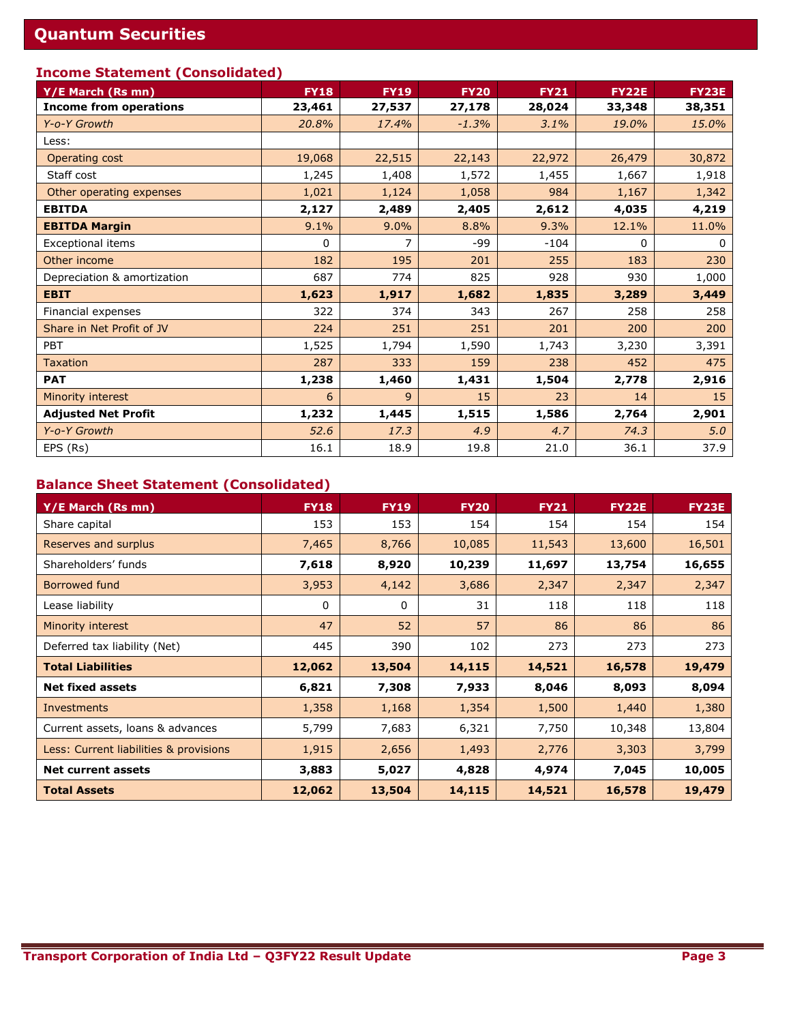### **Income Statement (Consolidated)**

| Y/E March (Rs mn)             | <b>FY18</b> | <b>FY19</b>    | <b>FY20</b> | <b>FY21</b> | <b>FY22E</b> | <b>FY23E</b> |
|-------------------------------|-------------|----------------|-------------|-------------|--------------|--------------|
| <b>Income from operations</b> | 23,461      | 27,537         | 27,178      | 28,024      | 33,348       | 38,351       |
| Y-o-Y Growth                  | 20.8%       | 17.4%          | $-1.3%$     | 3.1%        | 19.0%        | 15.0%        |
| Less:                         |             |                |             |             |              |              |
| Operating cost                | 19,068      | 22,515         | 22,143      | 22,972      | 26,479       | 30,872       |
| Staff cost                    | 1,245       | 1,408          | 1,572       | 1,455       | 1,667        | 1,918        |
| Other operating expenses      | 1,021       | 1,124          | 1,058       | 984         | 1,167        | 1,342        |
| <b>EBITDA</b>                 | 2,127       | 2,489          | 2,405       | 2,612       | 4,035        | 4,219        |
| <b>EBITDA Margin</b>          | 9.1%        | 9.0%           | 8.8%        | 9.3%        | 12.1%        | 11.0%        |
| Exceptional items             | 0           | 7              | $-99$       | $-104$      | 0            | 0            |
| Other income                  | 182         | 195            | 201         | 255         | 183          | 230          |
| Depreciation & amortization   | 687         | 774            | 825         | 928         | 930          | 1,000        |
| <b>EBIT</b>                   | 1,623       | 1,917          | 1,682       | 1,835       | 3,289        | 3,449        |
| Financial expenses            | 322         | 374            | 343         | 267         | 258          | 258          |
| Share in Net Profit of JV     | 224         | 251            | 251         | 201         | 200          | 200          |
| <b>PBT</b>                    | 1,525       | 1,794          | 1,590       | 1,743       | 3,230        | 3,391        |
| <b>Taxation</b>               | 287         | 333            | 159         | 238         | 452          | 475          |
| <b>PAT</b>                    | 1,238       | 1,460          | 1,431       | 1,504       | 2,778        | 2,916        |
| Minority interest             | 6           | $\overline{9}$ | 15          | 23          | 14           | 15           |
| <b>Adjusted Net Profit</b>    | 1,232       | 1,445          | 1,515       | 1,586       | 2,764        | 2,901        |
| Y-o-Y Growth                  | 52.6        | 17.3           | 4.9         | 4.7         | 74.3         | 5.0          |
| EPS (Rs)                      | 16.1        | 18.9           | 19.8        | 21.0        | 36.1         | 37.9         |

### **Balance Sheet Statement (Consolidated)**

| Y/E March (Rs mn)                      | <b>FY18</b> | <b>FY19</b> | <b>FY20</b> | <b>FY21</b> | <b>FY22E</b> | <b>FY23E</b> |
|----------------------------------------|-------------|-------------|-------------|-------------|--------------|--------------|
| Share capital                          | 153         | 153         | 154         | 154         | 154          | 154          |
| Reserves and surplus                   | 7,465       | 8,766       | 10,085      | 11,543      | 13,600       | 16,501       |
| Shareholders' funds                    | 7,618       | 8,920       | 10,239      | 11,697      | 13,754       | 16,655       |
| <b>Borrowed fund</b>                   | 3,953       | 4,142       | 3,686       | 2,347       | 2,347        | 2,347        |
| Lease liability                        | 0           | 0           | 31          | 118         | 118          | 118          |
| Minority interest                      | 47          | 52          | 57          | 86          | 86           | 86           |
| Deferred tax liability (Net)           | 445         | 390         | 102         | 273         | 273          | 273          |
| <b>Total Liabilities</b>               | 12,062      | 13,504      | 14,115      | 14,521      | 16,578       | 19,479       |
| <b>Net fixed assets</b>                | 6,821       | 7,308       | 7,933       | 8,046       | 8,093        | 8,094        |
| Investments                            | 1,358       | 1,168       | 1,354       | 1,500       | 1,440        | 1,380        |
| Current assets, loans & advances       | 5,799       | 7,683       | 6,321       | 7,750       | 10,348       | 13,804       |
| Less: Current liabilities & provisions | 1,915       | 2,656       | 1,493       | 2,776       | 3,303        | 3,799        |
| <b>Net current assets</b>              | 3,883       | 5,027       | 4,828       | 4,974       | 7,045        | 10,005       |
| <b>Total Assets</b>                    | 12,062      | 13,504      | 14,115      | 14,521      | 16,578       | 19,479       |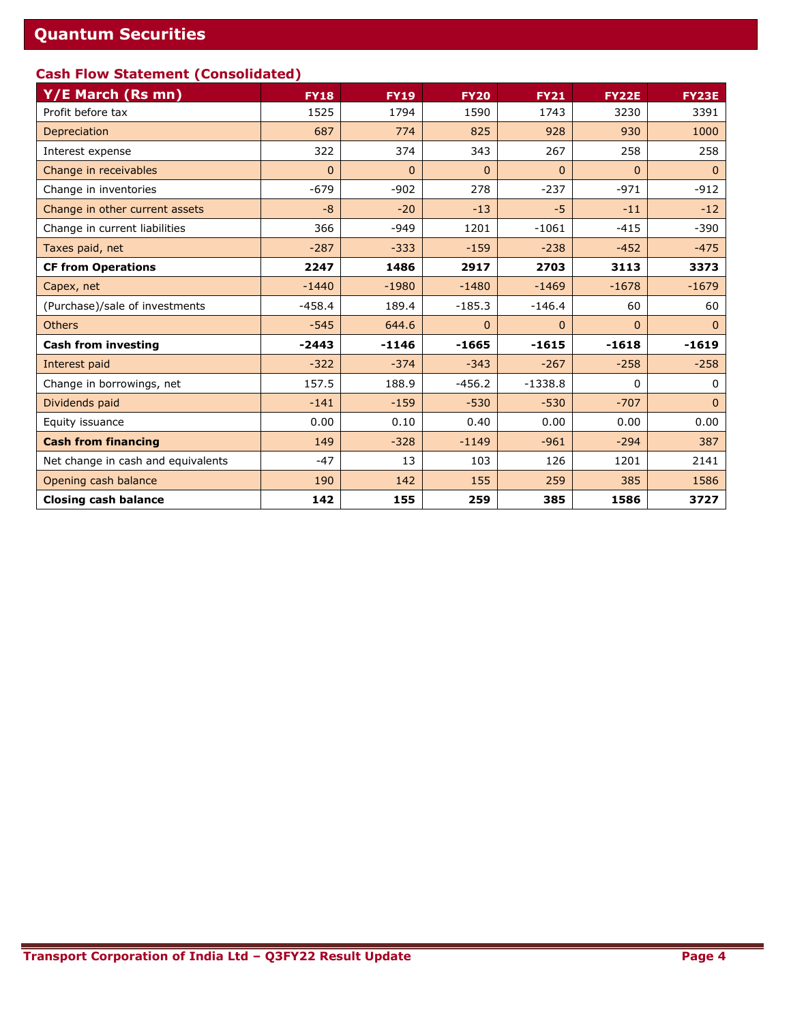### **Cash Flow Statement (Consolidated)**

| Y/E March (Rs mn)                  | <b>FY18</b> | <b>FY19</b> | <b>FY20</b>  | <b>FY21</b>  | <b>FY22E</b> | <b>FY23E</b> |
|------------------------------------|-------------|-------------|--------------|--------------|--------------|--------------|
| Profit before tax                  | 1525        | 1794        | 1590         | 1743         | 3230         | 3391         |
| Depreciation                       | 687         | 774         | 825          | 928          | 930          | 1000         |
| Interest expense                   | 322         | 374         | 343          | 267          | 258          | 258          |
| Change in receivables              | $\Omega$    | $\Omega$    | $\Omega$     | $\Omega$     | $\Omega$     | $\Omega$     |
| Change in inventories              | $-679$      | $-902$      | 278          | $-237$       | $-971$       | $-912$       |
| Change in other current assets     | $-8$        | $-20$       | $-13$        | $-5$         | $-11$        | $-12$        |
| Change in current liabilities      | 366         | $-949$      | 1201         | $-1061$      | $-415$       | $-390$       |
| Taxes paid, net                    | $-287$      | $-333$      | $-159$       | $-238$       | $-452$       | $-475$       |
| <b>CF from Operations</b>          | 2247        | 1486        | 2917         | 2703         | 3113         | 3373         |
| Capex, net                         | $-1440$     | $-1980$     | $-1480$      | $-1469$      | $-1678$      | $-1679$      |
| (Purchase)/sale of investments     | $-458.4$    | 189.4       | $-185.3$     | $-146.4$     | 60           | 60           |
| <b>Others</b>                      | $-545$      | 644.6       | $\mathbf{0}$ | $\mathbf{0}$ | $\mathbf{0}$ | $\Omega$     |
| <b>Cash from investing</b>         | $-2443$     | $-1146$     | $-1665$      | $-1615$      | $-1618$      | $-1619$      |
| Interest paid                      | $-322$      | $-374$      | $-343$       | $-267$       | $-258$       | $-258$       |
| Change in borrowings, net          | 157.5       | 188.9       | $-456.2$     | $-1338.8$    | 0            | 0            |
| Dividends paid                     | $-141$      | $-159$      | $-530$       | $-530$       | $-707$       | $\mathbf{0}$ |
| Equity issuance                    | 0.00        | 0.10        | 0.40         | 0.00         | 0.00         | 0.00         |
| <b>Cash from financing</b>         | 149         | $-328$      | $-1149$      | $-961$       | $-294$       | 387          |
| Net change in cash and equivalents | $-47$       | 13          | 103          | 126          | 1201         | 2141         |
| Opening cash balance               | 190         | 142         | 155          | 259          | 385          | 1586         |
| <b>Closing cash balance</b>        | 142         | 155         | 259          | 385          | 1586         | 3727         |